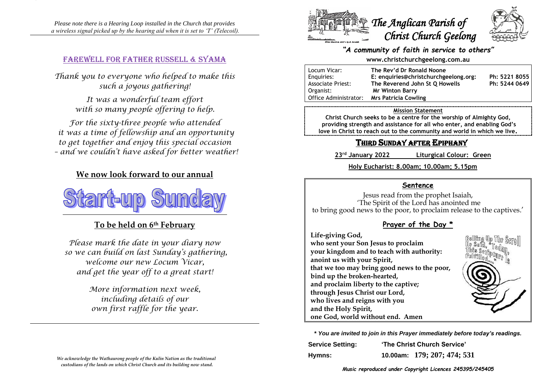*Please note there is a Hearing Loop installed in the Church that provides a wireless signal picked up by the hearing aid when it is set to 'T' (Telecoil).*

### Farewell for Father Russell & Syama

*Thank you to everyone who helped to make this such a joyous gathering!*

> *It was a wonderful team effort with so many people offering to help.*

*For the sixty-three people who attended it was a time of fellowship and an opportunity to get together and enjoy this special occasion – and we couldn't have asked for better weather!*

## **We now look forward to our annual**



# **To be held on 6th February**

*Please mark the date in your diary now so we can build on last Sunday's gathering, welcome our new Locum Vicar, and get the year off to a great start!*

> *More information next week, including details of our own first raffle for the year.*



### *"A community of faith in service to others"*

#### **www.christchurchgeelong.com.au**

| Locum Vicar:             | The Rev'd Dr Ronald Noone             |               |
|--------------------------|---------------------------------------|---------------|
| Enguiries:               | E: enquiries@christchurchgeelong.org: | Ph: 5221 8055 |
| <b>Associate Priest:</b> | The Reverend John St Q Howells        | Ph: 5244 0649 |
| Organist:                | <b>Mr Winton Barry</b>                |               |
| Office Administrator:    | <b>Mrs Patricia Cowling</b>           |               |

#### **Mission Statement**

**Christ Church seeks to be a centre for the worship of Almighty God, providing strength and assistance for all who enter, and enabling God's love in Christ to reach out to the community and world in which we live.**

# THIRD SUNDAY AFTER EPIPHANY

**23rd January 2022 Liturgical Colour: Green**

**Holy Eucharist: 8.00am; 10.00am; 5.15pm**

### **Sentence**

Jesus read from the prophet Isaiah, 'The Spirit of the Lord has anointed me to bring good news to the poor, to proclaim release to the captives.'

### **Prayer of the Day \***

**Life-giving God,**

**who sent your Son Jesus to proclaim your kingdom and to teach with authority: anoint us with your Spirit, that we too may bring good news to the poor, bind up the broken-hearted, and proclaim liberty to the captive; through Jesus Christ our Lord, who lives and reigns with you and the Holy Spirit, one God, world without end. Amen**



**\*** *You are invited to join in this Prayer immediately before today's readings.*

| <b>Service Setting:</b> | 'The Christ Church Service' |                             |
|-------------------------|-----------------------------|-----------------------------|
| Hymns:                  |                             | 10.00am: 179; 207; 474; 531 |

*We acknowledge the Wathaurong people of the Kulin Nation as the traditional custodians of the lands on which Christ Church and its building now stand.*